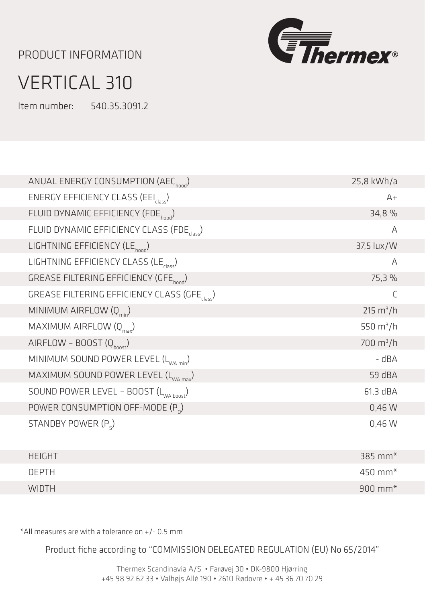## PRODUCT INFORMATION



## VERTICAL 310

Item number: 540.35.3091.2

| ANUAL ENERGY CONSUMPTION (AEC <sub>hood</sub> )           | 25,8 kWh/a            |
|-----------------------------------------------------------|-----------------------|
| ENERGY EFFICIENCY CLASS (EEI <sub>class</sub> )           | $A+$                  |
| FLUID DYNAMIC EFFICIENCY (FDE <sub>hood</sub> )           | 34,8 %                |
| FLUID DYNAMIC EFFICIENCY CLASS (FDE <sub>class</sub> )    | A                     |
| LIGHTNING EFFICIENCY (LE <sub>hood</sub> )                | 37,5 lux/W            |
| LIGHTNING EFFICIENCY CLASS (LE <sub>class</sub> )         | A                     |
| GREASE FILTERING EFFICIENCY (GFE <sub>hood</sub> )        | 75,3 %                |
| GREASE FILTERING EFFICIENCY CLASS (GFE <sub>Class</sub> ) | C                     |
| MINIMUM AIRFLOW (Q <sub>min</sub> )                       | $215 \text{ m}^3/h$   |
| MAXIMUM AIRFLOW $(Q_{\text{max}})$                        | 550 $m^3/h$           |
| AIRFLOW - BOOST $(Q_{\text{boost}})$                      | $700 \text{ m}^3/h$   |
| MINIMUM SOUND POWER LEVEL (L <sub>WA min</sub> )          | - dBA                 |
| MAXIMUM SOUND POWER LEVEL (L <sub>WA max</sub> )          | 59 dBA                |
| SOUND POWER LEVEL - BOOST (L <sub>WA hoost</sub> )        | 61,3 dBA              |
| POWER CONSUMPTION OFF-MODE $(P_0)$                        | 0,46 W                |
| STANDBY POWER $(P_c)$                                     | 0,46 W                |
|                                                           |                       |
| <b>HEIGHT</b>                                             | 385 mm*               |
| <b>DEPTH</b>                                              | $450$ mm <sup>*</sup> |
| <b>WIDTH</b>                                              | $900$ mm <sup>*</sup> |

\*All measures are with a tolerance on +/- 0.5 mm

Product fiche according to "COMMISSION DELEGATED REGULATION (EU) No 65/2014"